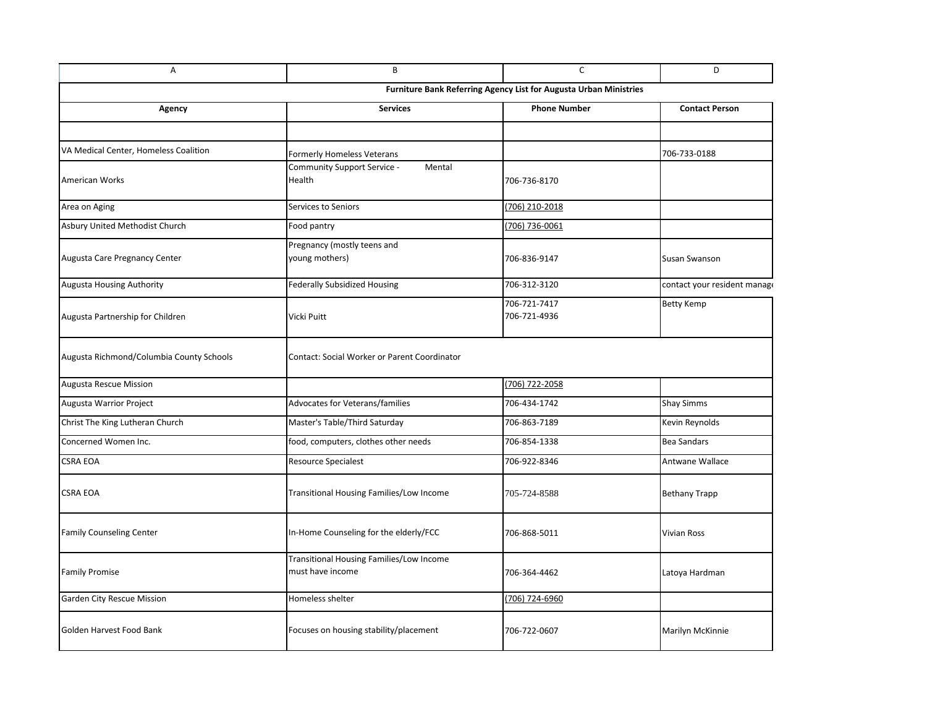| Α                                                                  | B                                                            | C                            | D                            |  |
|--------------------------------------------------------------------|--------------------------------------------------------------|------------------------------|------------------------------|--|
| Furniture Bank Referring Agency List for Augusta Urban Ministries  |                                                              |                              |                              |  |
| Agency                                                             | <b>Services</b>                                              | <b>Phone Number</b>          | <b>Contact Person</b>        |  |
|                                                                    |                                                              |                              |                              |  |
| VA Medical Center, Homeless Coalition                              | Formerly Homeless Veterans                                   |                              | 706-733-0188                 |  |
| American Works                                                     | Community Support Service -<br>Mental<br>Health              | 706-736-8170                 |                              |  |
| Area on Aging                                                      | Services to Seniors                                          | (706) 210-2018               |                              |  |
| Asbury United Methodist Church                                     | Food pantry                                                  | (706) 736-0061               |                              |  |
| Augusta Care Pregnancy Center                                      | Pregnancy (mostly teens and<br>young mothers)                | 706-836-9147                 | Susan Swanson                |  |
| <b>Augusta Housing Authority</b>                                   | <b>Federally Subsidized Housing</b>                          | 706-312-3120                 | contact your resident manage |  |
| Augusta Partnership for Children<br>Vicki Puitt                    |                                                              | 706-721-7417<br>706-721-4936 | <b>Betty Kemp</b>            |  |
| Augusta Richmond/Columbia County Schools                           | Contact: Social Worker or Parent Coordinator                 |                              |                              |  |
| <b>Augusta Rescue Mission</b>                                      |                                                              | (706) 722-2058               |                              |  |
| Augusta Warrior Project                                            | Advocates for Veterans/families                              | 706-434-1742                 | <b>Shay Simms</b>            |  |
| Christ The King Lutheran Church                                    | Master's Table/Third Saturday                                | 706-863-7189                 | Kevin Reynolds               |  |
| Concerned Women Inc.                                               | food, computers, clothes other needs                         | 706-854-1338                 | <b>Bea Sandars</b>           |  |
| <b>CSRA EOA</b>                                                    | <b>Resource Specialest</b>                                   | 706-922-8346                 | Antwane Wallace              |  |
| <b>CSRA EOA</b><br>Transitional Housing Families/Low Income        |                                                              | 705-724-8588                 | <b>Bethany Trapp</b>         |  |
| <b>Family Counseling Center</b>                                    | In-Home Counseling for the elderly/FCC                       |                              | <b>Vivian Ross</b>           |  |
| <b>Family Promise</b>                                              | Transitional Housing Families/Low Income<br>must have income | 706-364-4462                 | Latoya Hardman               |  |
| Garden City Rescue Mission                                         | Homeless shelter                                             | 706) 724-6960                |                              |  |
| Focuses on housing stability/placement<br>Golden Harvest Food Bank |                                                              | 706-722-0607                 | Marilyn McKinnie             |  |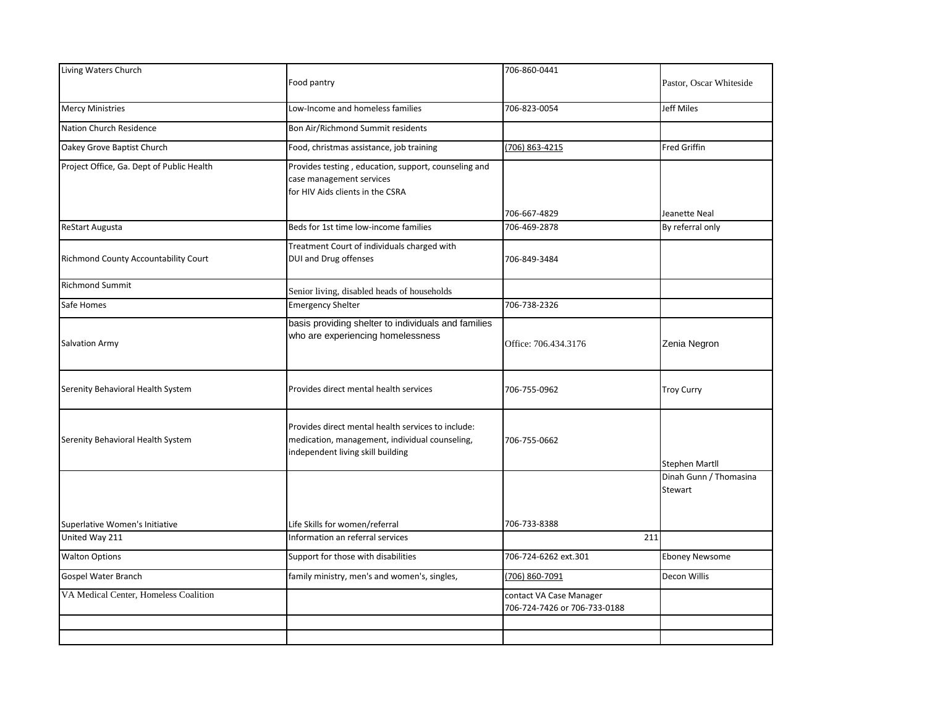| Living Waters Church                      |                                                                                                                                           | 706-860-0441                                            |                                   |
|-------------------------------------------|-------------------------------------------------------------------------------------------------------------------------------------------|---------------------------------------------------------|-----------------------------------|
|                                           | Food pantry                                                                                                                               |                                                         | Pastor, Oscar Whiteside           |
| <b>Mercy Ministries</b>                   | Low-Income and homeless families                                                                                                          | 706-823-0054                                            | <b>Jeff Miles</b>                 |
| Nation Church Residence                   | Bon Air/Richmond Summit residents                                                                                                         |                                                         |                                   |
| Oakey Grove Baptist Church                | Food, christmas assistance, job training                                                                                                  | (706) 863-4215                                          | Fred Griffin                      |
| Project Office, Ga. Dept of Public Health | Provides testing, education, support, counseling and<br>case management services<br>for HIV Aids clients in the CSRA                      |                                                         |                                   |
|                                           |                                                                                                                                           | 706-667-4829                                            | Jeanette Neal                     |
| <b>ReStart Augusta</b>                    | Beds for 1st time low-income families                                                                                                     | 706-469-2878                                            | By referral only                  |
| Richmond County Accountability Court      | Treatment Court of individuals charged with<br>DUI and Drug offenses                                                                      | 706-849-3484                                            |                                   |
| <b>Richmond Summit</b>                    | Senior living, disabled heads of households                                                                                               |                                                         |                                   |
| Safe Homes                                | <b>Emergency Shelter</b>                                                                                                                  | 706-738-2326                                            |                                   |
| <b>Salvation Army</b>                     | basis providing shelter to individuals and families<br>who are experiencing homelessness                                                  | Office: 706.434.3176                                    | Zenia Negron                      |
| Serenity Behavioral Health System         | Provides direct mental health services                                                                                                    | 706-755-0962                                            | <b>Troy Curry</b>                 |
| Serenity Behavioral Health System         | Provides direct mental health services to include:<br>medication, management, individual counseling,<br>independent living skill building | 706-755-0662                                            | <b>Stephen Martll</b>             |
|                                           |                                                                                                                                           |                                                         | Dinah Gunn / Thomasina<br>Stewart |
| Superlative Women's Initiative            | Life Skills for women/referral                                                                                                            | 706-733-8388                                            |                                   |
| United Way 211                            | Information an referral services                                                                                                          | 211                                                     |                                   |
| <b>Walton Options</b>                     | Support for those with disabilities                                                                                                       | 706-724-6262 ext.301                                    | <b>Eboney Newsome</b>             |
| Gospel Water Branch                       | family ministry, men's and women's, singles,                                                                                              | (706) 860-7091                                          | Decon Willis                      |
| VA Medical Center, Homeless Coalition     |                                                                                                                                           | contact VA Case Manager<br>706-724-7426 or 706-733-0188 |                                   |
|                                           |                                                                                                                                           |                                                         |                                   |
|                                           |                                                                                                                                           |                                                         |                                   |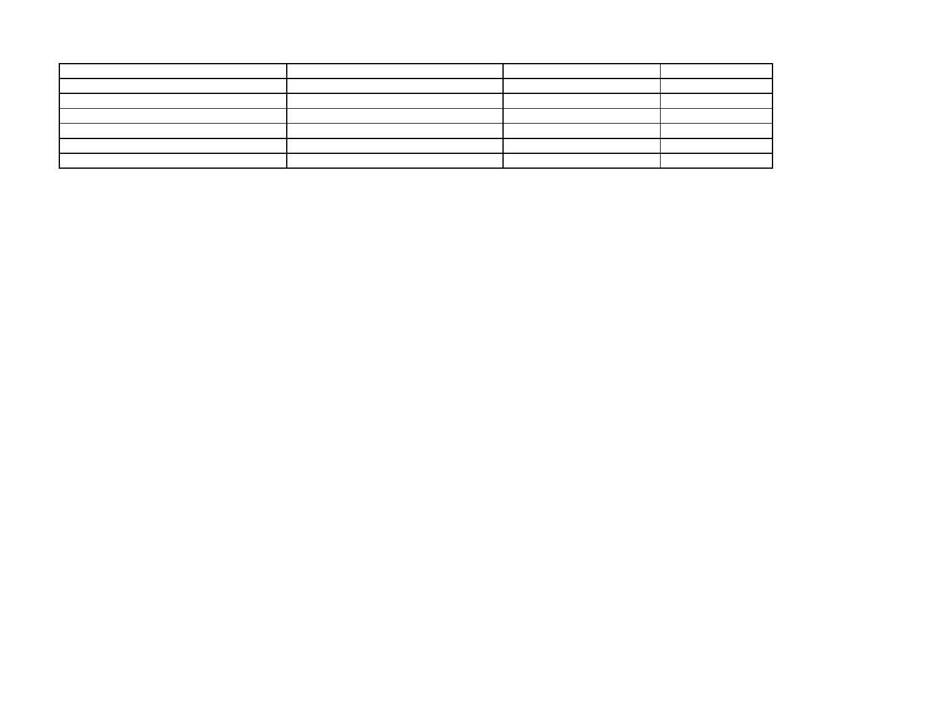| ,我们也不会有什么。""我们的人,我们也不会有什么?""我们的人,我们也不会有什么?""我们的人,我们也不会有什么?""我们的人,我们也不会有什么?""我们的人 |  |
|----------------------------------------------------------------------------------|--|
|                                                                                  |  |
|                                                                                  |  |
|                                                                                  |  |
|                                                                                  |  |
|                                                                                  |  |
|                                                                                  |  |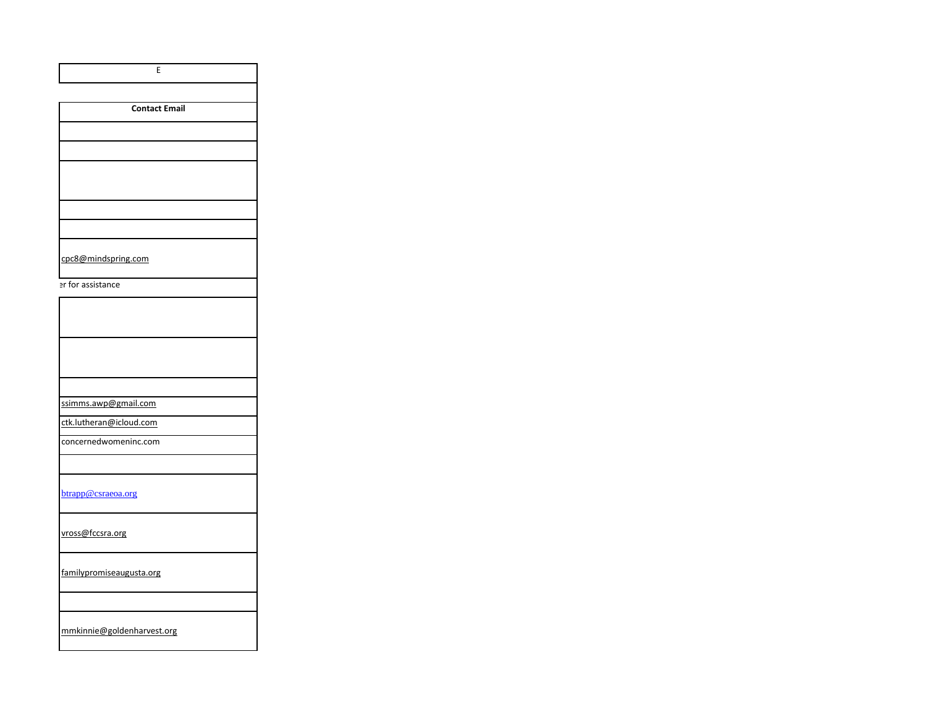|                   | E                          |  |
|-------------------|----------------------------|--|
|                   |                            |  |
|                   | <b>Contact Email</b>       |  |
|                   |                            |  |
|                   |                            |  |
|                   |                            |  |
|                   |                            |  |
|                   |                            |  |
|                   |                            |  |
|                   |                            |  |
|                   | cpc8@mindspring.com        |  |
| er for assistance |                            |  |
|                   |                            |  |
|                   |                            |  |
|                   |                            |  |
|                   |                            |  |
|                   |                            |  |
|                   | ssimms.awp@gmail.com       |  |
|                   | ctk.lutheran@icloud.com    |  |
|                   | concernedwomeninc.com      |  |
|                   |                            |  |
|                   |                            |  |
|                   | btrapp@csraeoa.org         |  |
|                   |                            |  |
|                   | vross@fccsra.org           |  |
|                   |                            |  |
|                   | familypromiseaugusta.org   |  |
|                   |                            |  |
|                   |                            |  |
|                   | mmkinnie@goldenharvest.org |  |